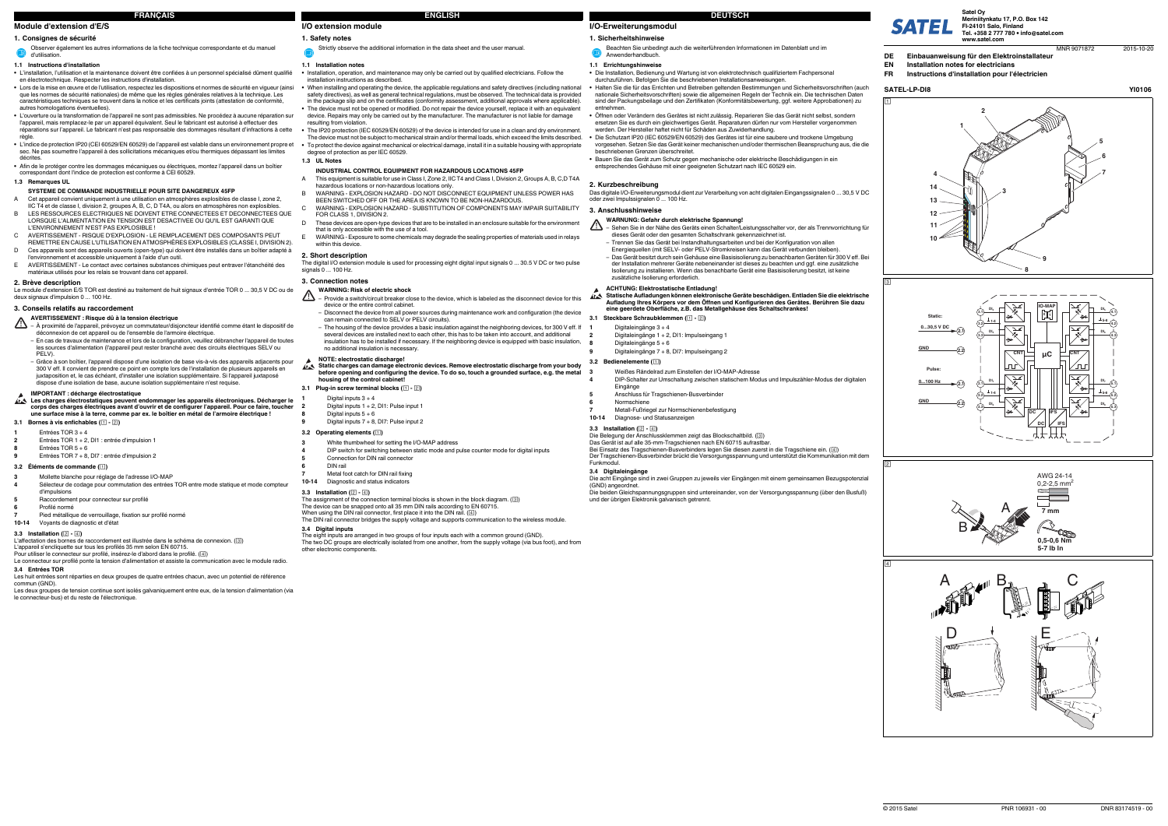**I/O-Erweiterungsmodul**

### **1.** Sicherheitshinweis

### **1.1 Errichtungshinweise**

- **•** Die Installation, Bedienung und Wartung ist von elektrotechnisch qualifiziertem Fachpersonal durchzuführen. Befolgen Sie die beschriebenen Installationsanweisungen.
- **•** Halten Sie die für das Errichten und Betreiben geltenden Bestimmungen und Sicherheitsvorschriften (auch nationale Sicherheitsvorschriften) sowie die allgemeinen Regeln der Technik ein. Die technischen Daten sind der Packungsbeilage und den Zertifikaten (Konformitätsbewertung, ggf. weitere Approbationen) zu entnehmen.
- **•** Öffnen oder Verändern des Gerätes ist nicht zulässig. Reparieren Sie das Gerät nicht selbst, sondern ersetzen Sie es durch ein gleichwertiges Gerät. Reparaturen dürfen nur vom Hersteller vorgenommen werden. Der Hersteller haftet nicht für Schäden aus Zuwiderhandlung.
- **•** Die Schutzart IP20 (IEC 60529/EN 60529) des Gerätes ist für eine saubere und trockene Umgebung vorgesehen. Setzen Sie das Gerät keiner mechanischen und/oder thermischen Beanspruchung aus, die die beschriebenen Grenzen überschreitet.
- **•** Bauen Sie das Gerät zum Schutz gegen mechanische oder elektrische Beschädigungen in ein entsprechendes Gehäuse mit einer geeigneten Schutzart nach IEC 60529 ein.

Das Gerät ist auf alle 35-mm-Tragschienen nach EN 60715 aufrastbar.<br>Bei Einsatz des Tragschienen-Busverbinders legen Sie diesen zuerst in die Tragschiene ein. (④) Der Tragschienen-Busverbinder brückt die Versorgungsspannung und unterstützt die Kommunikation mit dem

### **WARNUNG: Gefahr durch elektrische Spannung!**  $\Delta$

**2. Kurzbeschreibung** Das digitale I/O-Erweiterungsmodul dient zur Verarbeitung von acht digitalen Eingangssignalen 0 ... 30,5 V DC oder zwei Impulssignalen 0 ... 100 Hz.

### **3. Anschlusshinweise**

**3.1 Steckbare Schraubklemmen ( - )**

**3.2 Bedienelemente ( )**

**3.3 Installation ( - )**

Die Belegung der Anschlussklemmen zeigt das Blockschaltbild. ( )

Funkmodul.

(GND) angeordnet.

Die beiden Gleichspannungsgruppen sind untereinander, von der Versorgungsspannung (über den Busfuß) und der übrigen Elektronik galvanisch getrennt.

Beachten Sie unbedingt auch die weiterführenden Informationen im Datenblatt und im Anwenderhandbuch.

– Sehen Sie in der Nähe des Geräts einen Schalter/Leistungsschalter vor, der als Trennvorrichtung für dieses Gerät oder den gesamten Schaltschrank gekennzeichnet ist. Trennen Sie das Gerät bei Instandhaltungsarbeiten und bei der Konfiguration von allen

Energiequellen (mit SELV- oder PELV-Stromkreisen kann das Gerät verbunden bleiben).

der Installation mehrerer Geräte nebeneinander ist dieses zu beachten und ggf. eine zusätzliche Isolierung zu installieren. Wenn das benachbarte Gerät eine Basisisolierung besitzt, ist keine

zusätzliche Isolierung erforderlich. **ACHTUNG: Elektrostatische Entladung!**

**1**

AL-

Digitaleingänge 3 <sup>+</sup> 4

**2**

Digitaleingänge 1 + 2, DI1: Impulseingang 1

**8**

Digitaleingänge 5 <sup>+</sup> 6

**9**

Digitaleingänge 7 + 8, DI7: Impulseingang 2

**3**

Weißes Rändelrad zum Einstellen der I/O-MAP-Adresse

**4**

DIP-Schalter zur Umschaltung zwischen statischem Modus und Impulszähler-Modus der digitalen

Eingänge

**5**

Anschluss für Tragschienen-Busverbinder

**6**

Normschiene

**7**

Metall-Fußriegel zur Normschienenbefestigung

**10-14**

Diagnose- und Statusanzeigen

# **Module d'extension d'E/S**

### **1. Consignes de sécurité**

# **1.1 Instructions d'installation**

- **•** L'installation, l'utilisation et la maintenance doivent être confiées à un personnel spécialisé dûment qualifié en électrotechnique. Respecter les instructions d'installation.
- **•** Lors de la mise en œuvre et de l'utilisation, respectez les dispositions et normes de sécurité en vigueur (ainsi que les normes de sécurité nationales) de même que les règles générales relatives à la technique. Les caractéristiques techniques se trouvent dans la notice et les certificats joints (attestation de conformité, autres homologations éventuelles).
- **•** L'ouverture ou la transformation de l'appareil ne sont pas admissibles. Ne procédez à aucune réparation sur l'appareil, mais remplacez-le par un appareil équivalent. Seul le fabricant est autorisé à effectuer des réparations sur l'appareil. Le fabricant n'est pas responsable des dommages résultant d'infractions à cette
- règle. **•** L'indice de protection IP20 (CEI 60529/EN 60529) de l'appareil est valable dans un environnement propre et sec. Ne pas soumettre l'appareil à des sollicitations mécaniques et/ou thermiques dépassant les limites décrites.
- **•** Afin de le protéger contre les dommages mécaniques ou électriques, montez l'appareil dans un boîtier correspondant dont l'indice de protection est conforme à CEI 60529.

### **1.3 Remarques UL**

# **2. Brève description**

Le module d'extension E/S TOR est destiné au traitement de huit signaux d'entrée TOR 0 ... 30,5 V DC ou de deux signaux d'impulsion 0 ... 100 Hz.

### **3. Conseils relatifs au raccordement**

### **3.1 Bornes à vis enfichables ( - )**

### **3.2 Éléments de commande ( )**

# **3.3 Installation ( - )**

- A This equipment is suitable for use in Class I, Zone 2, IIC T4 and Class I, Division 2, Groups A, B, C,D T4A
- hazardous locations or non-hazardous locations only. B WARNING - EXPLOSION HAZARD - DO NOT DISCONNECT EQUIPMENT UNLESS POWER HAS
- BEEN SWITCHED OFF OR THE AREA IS KNOWN TO BE NON-HAZARDOUS.C WARNING - EXPLOSION HAZARD - SUBSTITUTION OF COMPONENTS MAY IMPAIR SUITABILITY
- FOR CLASS 1, DIVISION 2. These devices are open-type devices that are to be installed in an enclosure suitable for the environment
- that is only accessible with the use of a tool. E WARNING - Exposure to some chemicals may degrade the sealing properties of materials used in relays
- within this device

L'affectation des bornes de raccordement est illustrée dans le schéma de connexion. ( ) L'appareil s'encliquette sur tous les profilés 35 mm selon EN 60715.

Pour utiliser le connecteur sur profilé, insérez-le d'abord dans le profilé. ( )

Le connecteur sur profilé ponte la tension d'alimentation et assiste la communication avec le module radio.

# **3.4 Entrées TOR**

 Les huit entrées sont réparties en deux groupes de quatre entrées chacun, avec un potentiel de référence commun (GND).

Les deux groupes de tension continue sont isolés galvaniquement entre eux, de la tension d'alimentation (via le connecteur-bus) et du reste de l'électronique.

Observer également les autres informations de la fiche technique correspondante et du manuel d'utilisation.

# **SYSTEME DE COMMANDE INDUSTRIELLE POUR SITE DANGEREUX 45FP**

**Static charges can damage electronic devices. Remove electrostatic discharge from your body before opening and configuring the device. To do so, touch a grounded surface, e.g. the metal housing of the control cabinet!**

- Digital inputs 1 + 2, DI1: Pulse input 1
- Digital inputs  $5 + 6$
- Digital inputs  $7 + 8$ , DI7: Pulse input 2
- A Cet appareil convient uniquement à une utilisation en atmosphères explosibles de classe I, zone 2, IIC T4 et de classe I, division 2, groupes A, B, C, D T4A, ou alors en atmosphères non explosibles.
- B LES RESSOURCES ELECTRIQUES NE DOIVENT ETRE CONNECTEES ET DECONNECTEES QUE LORSQUE L'ALIMENTATION EN TENSION EST DESACTIVEE OU QU'IL EST GARANTI QUE L'ENVIRONNEMENT N'EST PAS EXPLOSIBLE ! C AVERTISSEMENT - RISQUE D'EXPLOSION - LE REMPLACEMENT DES COMPOSANTS PEUT
- REMETTRE EN CAUSE L'UTILISATION EN ATMOSPHÈRES EXPLOSIBLES (CLASSE I, DIVISION 2). D Ces appareils sont des appareils ouverts (open-type) qui doivent être installés dans un boîtier adapté à
- l'environnement et accessible uniquement à l'aide d'un outil. E AVERTISSEMENT - Le contact avec certaines substances chimiques peut entraver l'étanchéité des
- matériaux utilisés pour les relais se trouvant dans cet appareil.

# **AVERTISSEMENT : Risque dû à la tension électrique**

- À proximité de l'appareil, prévoyez un commutateur/disjoncteur identifié comme étant le dispositif de déconnexion de cet appareil ou de l'ensemble de l'armoire électrique. – En cas de travaux de maintenance et lors de la configuration, veuillez débrancher l'appareil de toutes
- les sources d'alimentation (l'appareil peut rester branché avec des circuits électriques SELV ou PELV). – Grâce à son boîtier, l'appareil dispose d'une isolation de base vis-à-vis des appareils adjacents pour 300 V eff. Il convient de prendre ce point en compte lors de l'installation de plusieurs appareils en
- juxtaposition et, le cas échéant, d'installer une isolation supplémentaire. Si l'appareil juxtaposé dispose d'une isolation de base, aucune isolation supplémentaire n'est requise.

### **IMPORTANT : décharge électrostatique**

Les charges électrostatiques peuvent endommager les appareils électroniques. Décharger le<br>corps des charges électriques avant d'ouvrir et de configurer l'appareil. Pour ce faire, toucher<br>une surface mise à la terre, comme

**1**Entrées TOR 3 <sup>+</sup> 4

**2**

- Entrées TOR 1 + 2, DI1 : entrée d'impulsion 1
- **8**Entrées TOR 5 <sup>+</sup> 6
- **9**Entrées TOR 7 + 8, DI7 : entrée d'impulsion 2

- **3** Mollette blanche pour réglage de l'adresse I/O-MAP **4**Sélecteur de codage pour commutation des entrées TOR entre mode statique et mode compteur
- d'impulsions
- **5** Raccordement pour connecteur sur profilé Profilé normé
- **67**
- Pied métallique de verrouillage, fixation sur profilé normé **10-14**Voyants de diagnostic et d'état

# **I/O extension module**

# **1.1 Installation notes**

- **•** Installation, operation, and maintenance may only be carried out by qualified electricians. Follow the installation, operation, and maintena
- **•** When installing and operating the device, the applicable regulations and safety directives (including national safety directives), as well as general technical regulations, must be observed. The technical data is provided in the package slip and on the certificates (conformity assessment, additional approvals where applicable). **•**The device must not be opened or modified. Do not repair the device yourself, replace it with an equivalent device. Repairs may only be carried out by the manufacturer. The manufacturer is not liable for damage resulting from violation.
- **•** The IP20 protection (IEC 60529/EN 60529) of the device is intended for use in a clean and dry environment. The device must not be subject to mechanical strain and/or thermal loads, which exceed the limits described. **•** To protect the device against mechanical or electrical damage, install it in a suitable housing with appropriate degree of protection as per IEC 60529.

**1. Safety notes** Strictly observe the additional information in the data sheet and the user manual.

### **1.3 UL Notes**

# **2. Short description**

The digital I/O extension module is used for processing eight digital input signals 0 ... 30.5 V DC or two pulse signals 0 ... 100 Hz.

### **3. Connection notes**

### **3.1 Plug-in screw terminal blocks ( - )**

Digital inputs  $3 + 4$ 

### **3.2 Operating elements ( )**

# **3.3 Installation ( - )**

The assignment of the connection terminal blocks is shown in the block diagram.  $(\boxdot)$ 

The device can be snapped onto all 35 mm DIN rails according to EN 60715.

When using the DIN rail connector, first place it into the DIN rail. (4) The DIN rail connector bridges the supply voltage and supports communication to the wireless module.

**3.4 Digital inputs**

The eight inputs are arranged in two groups of four inputs each with a common ground (GND). The two DC groups are electrically isolated from one another, from the supply voltage (via bus foot), and from other electronic components.

### **INDUSTRIAL CONTROL EQUIPMENT FOR HAZARDOUS LOCATIONS 45FP**

- **WARNING: Risk of electric shock** Provide a switch/circuit breaker close to the device, which is labeled as the disconnect device for this device or the entire control cabinet.
- Disconnect the device from all power sources during maintenance work and configuration (the device can remain connected to SELV or PELV circuits).
- The housing of the device provides a basic insulation against the neighboring devices, for 300 V eff. If several devices are installed next to each other, this has to be taken into account, and additional insulation has to be installed if necessary. If the neighboring device is equipped with basic insulation, no additional insulation is necessary.

### **NOTE: electrostatic discharge!**

**1**

**2**

**8**

**9**

- 
- **3** White thumbwheel for setting the I/O-MAP address **4**
- DIP switch for switching between static mode and pulse counter mode for digital inputs Connection for DIN rail connector
- DIN rail
- **6**Metal foot catch for DIN rail fixing
- **710-14**Diagnostic and status indicators

**5**

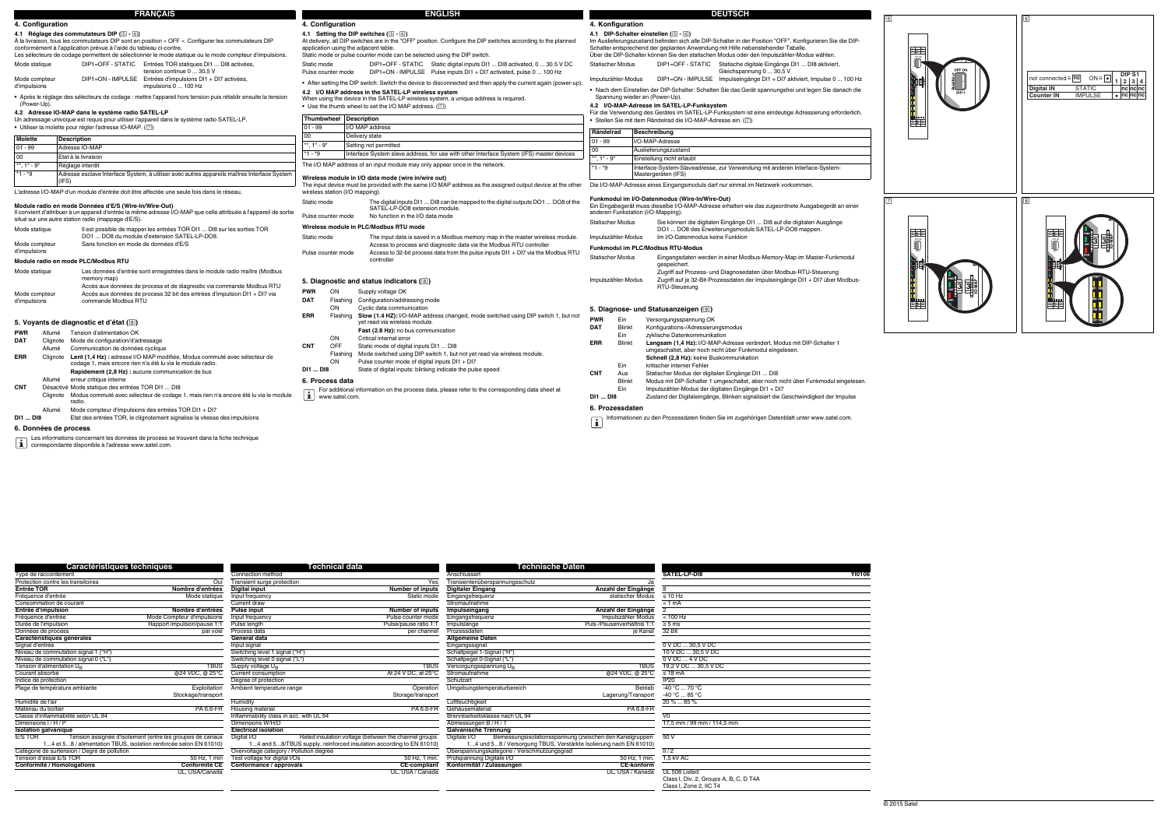Signal d'entrée Input signal Eingangssignal 0 V DC ... 30,5 V DC Niveau de commutation signal 1 ("H") Switching level 1 signal ("H") Schaltpegel 1-Signal ("H") 10 V DC ... 30,5 V DC Niveau de commutation signal 1 ("H")<br>
Niveau de commutation signal 0 ("L")<br>
Niveau de commutation signal 0 ("L")<br>
Niveau de commutation signal 0 ("L")<br>
Switching level 0 signal ("L")<br>
Switching level 0 signal ("L")<br>
Schalt

Matériau du boîtier<br>
Classe d'inflammabilité selon UL 94 **Inflammability class in acc.** with UL 94 **PA 6.6-FR**<br>
Dimensions I/H/P **Dimensions W/H/D** Dimensions W/H/D **Dimensions W/H/D** Abmessungen B/H/T **Classe 199 11/99 mm** Dimensions I / H / P  $\rho_{\rm{min}}$  / H  $\rho_{\rm{min}}$  and the Dimensions W/H/D  $\rho_{\rm{min}}$  and the control of the control of the control of the control of the control of the control of the control of the control of the control of

Type de raccordement **Connection method** Connection method **Connection method** Anschlussart Anschlussart **SATEL-LP-DI8** 

Digitale I/O Bemessungsisolationsspannung (zwischen den Kanalgruppen 50 V<br>1...4 und 5...8 / Versorgung TBUS. Verstärkte Isolierung nach EN 61010) 5...8 / Versorgung TBUS, Verstärkte Isolierung nach EN 61010)

**Isolation galvanique Electrical isolation Galvanische Trennung** E/S TOR Tension assignée d'isolement (entre les groupes de canaux 1...4 et

Protection contre les transitoires **COUI Transient surge protection** Ves Transientenüberspannungsschutz<br>
Transient Schrift Schrift Schrift Schrift Schrift Schrift Schrift Schrift Schrift Schrift Schrift Schrift Schrift Sch **Entrée TOR Nombre d'entrées Digital input Number of inputs Digitaler Eingang Anzahl der Eingänge** 8 Fréquence d'entrée me statischer Mode statique Input frequency statischer Modus ≤ 10 Hz Consommation de courant courant compare console of the Current draw Stromagne Current draw Stromaufnahme  $< 1 \text{ mA}$ **Entrée d'impulsion**<br> **Entrée d'impulsion**<br> **Entrée d'impulsion**<br> **Entrée d'impulse d'entrée auxille d'annume d'annume d'entrées**<br> **Pulse counter mode Compteur d'impulsions**<br> **Pulse counter mode Compteur d'impulse d'annu** <u>Fréquence d'entrée Mode Compteur d'impulsions</u><br>
Durée de l'impulszähler Mode Compteur d'impulsions input frequency<br>
Durée de l'impulsations Input frequency<br>
Durée de l'impulsations in pulse counter mode Eingangsfrequenz<br>

Données de process sous and the controller par voie Process data per channel Prozessdaten per channel Prozessdaten in the channel Prozessdaten in the channel environment of the Kanal 32 Bit

Courant absorbé en the modern de la courrent consumption and the set of the set of the consumption and the set of the set of the set of the set of the set of the set of the set of the set of the set of the set of the set Indice de protection Degree of protection Degree of protection Degree of protection Degree of protection Degree of protection Degree of protection Degree of protection Degree of protection Degree of Degree of Degree of Deg Stockage/transport Stockage/transport Humidity Storage/transport Storage/transport Euftfeuchtigkeit Luftfeuchtigkeit Luftfeuchtigkeit Luftfeuchtigkeit Lagerung/Transport 20 % ... 85 %<br>Humidity Humidity Humidity Luftfeuch

1...4 et 5...8 / alimentation TBUS, isolation renforcée selon EN 61010) 1...4 and 5...8/TBUS supply, reinforced insulation according to EN 61010) 1...4 und 5...8 / Versorgung TBUS, Verstärkte Isolierung nach EN 61010) 7..

Matériau du boîtier en the Santa Charles and the Charles PA 6.6-FR Housing material PA 6.6-FR Gehäusematerial PA 6.6-FR Gehäusematerial PA 6.6-FR Gehäusematerial PA 6.6-FR Gehäusematerial PA 6.6-FR Gehäusematerial PA 6.6-F

Digital I/O Rated insulation voltage (between the channel groups

**Conformité / Homologations Conformité CE Conformance / approvals CE-compliant Konformität / Zulassungen CE-konform**

UL, USA/Canada UL, USA / Canada UL, USA / Kanada UL 508 Listed

Class I, Div. 2, Groups A, B, C, D T4A

Class I, Zone 2, IIC T4

Pulse Papport impulsion *Pulse* Pulse length Pulse length Pulse length Pulse pulse in the Pulse and Pulse and Pulse and Pulse and Pulse and Pulse and Pulse and Pulse and Pulse and Pulse and Pulse and Puls-/Pausenverhältni

TBUS Supply voltage U<sub>B</sub> TBUS THUS THE TEUS Versorgungsspannung U<sub>B</sub> TBUS 19,2 V DC ... 30,5 V DC ... 30,5 V DC ... 30,5 V DC

### **6. Données de process**

Tension d'alimentation U<sub>B</sub><br>Courant absorbé

|                               | <b>FRANCAIS</b>                                                                                                                                                                                                                                                                                                                 |                                   | <b>ENGLISH</b>                                                                                                                                                                                                                                                           |                          | <b>DEUTSCH</b>                                                                                                                                                                                                                                                                                                                   |               |  |
|-------------------------------|---------------------------------------------------------------------------------------------------------------------------------------------------------------------------------------------------------------------------------------------------------------------------------------------------------------------------------|-----------------------------------|--------------------------------------------------------------------------------------------------------------------------------------------------------------------------------------------------------------------------------------------------------------------------|--------------------------|----------------------------------------------------------------------------------------------------------------------------------------------------------------------------------------------------------------------------------------------------------------------------------------------------------------------------------|---------------|--|
|                               | 4. Configuration                                                                                                                                                                                                                                                                                                                | 4. Configuration                  |                                                                                                                                                                                                                                                                          |                          | 4. Konfiguration                                                                                                                                                                                                                                                                                                                 |               |  |
|                               | 4.1 Réglage des commutateurs DIP (5 - 6)<br>A la livraison, tous les commutateurs DIP sont en position « OFF ». Configurer les commutateurs DIP<br>conformément à l'application prévue à l'aide du tableau ci-contre.<br>Les sélecteurs de codage permettent de sélectionner le mode statique ou le mode compteur d'impulsions. |                                   | 4.1 Setting the DIP switches (5 - 6)<br>At delivery, all DIP switches are in the "OFF" position. Configure the DIP switches according to the planned<br>application using the adjacent table.<br>Static mode or pulse counter mode can be selected using the DIP switch. |                          | 4.1 DIP-Schalter einstellen (5 - 6)<br>Im Auslieferungszustand befinden sich alle DIP-Schalter in der Position "OFF". Konfigurieren Sie die DIP-<br>Schalter entsprechend der geplanten Anwendung mit Hilfe nebenstehender Tabelle.<br>Über die DIP-Schalter können Sie den statischen Modus oder den Impulszähler-Modus wählen. | $-8 - 8$      |  |
| Mode statique                 | DIP1=OFF - STATIC Entrées TOR statiques DI1  DI8 activées,<br>tension continue 0  30.5 V                                                                                                                                                                                                                                        | Static mode<br>Pulse counter mode | DIP1=OFF - STATIC Static digital inputs DI1  DI8 activated, 0  30.5 V DC<br>DIP1=ON - IMPULSE Pulse inputs DI1 + DI7 activated, pulse 0  100 Hz                                                                                                                          | <b>Statischer Modus</b>  | DIP1=OFF - STATIC Statische digitale Eingänge DI1  DI8 aktiviert,<br>Gleichspannung 0  30,5 V                                                                                                                                                                                                                                    |               |  |
| Mode compteur<br>d'impulsions | DIP1=ON - IMPULSE Entrées d'impulsions DI1 + DI7 activées,<br>impulsions 0  100 Hz<br>• Après le réglage des sélecteurs de codage : mettre l'appareil hors tension puis rétablir ensuite la tension                                                                                                                             |                                   | • After setting the DIP switch: Switch the device to disconnected and then apply the current again (power-up)<br>4.2 I/O MAP address in the SATEL-LP wireless system<br>When using the device in the SATEL-LP wireless system, a unique address is required.             |                          | DIP1=ON - IMPULSE Impulseingänge DI1 + DI7 aktiviert, Impulse 0  100 Hz<br>Impulszähler-Modus<br>• Nach dem Einstellen der DIP-Schalter: Schalten Sie das Gerät spannungsfrei und legen Sie danach die<br>Spannung wieder an (Power-Up).                                                                                         |               |  |
| (Power-Up).                   |                                                                                                                                                                                                                                                                                                                                 |                                   | • Use the thumb wheel to set the I/O MAP address. (7)                                                                                                                                                                                                                    |                          | 4.2 I/O-MAP-Adresse im SATEL-LP-Funksystem                                                                                                                                                                                                                                                                                       |               |  |
|                               | 4.2 Adresse IO-MAP dans le système radio SATEL-LP<br>Un adressage univoque est requis pour utiliser l'appareil dans le système radio SATEL-LP.                                                                                                                                                                                  | Thumbwheel Description            |                                                                                                                                                                                                                                                                          |                          | Für die Verwendung des Gerätes im SATEL-LP-Funksystem ist eine eindeutige Adressierung erforderlich.<br>• Stellen Sie mit dem Rändelrad die I/O-MAP-Adresse ein. (7)                                                                                                                                                             |               |  |
|                               | • Utiliser la molette pour régler l'adresse IO-MAP. ([7])                                                                                                                                                                                                                                                                       | $01 - 99$                         | I/O MAP address                                                                                                                                                                                                                                                          | Rändelrad                | Beschreibung                                                                                                                                                                                                                                                                                                                     |               |  |
| <b>Molette</b>                | <b>Description</b>                                                                                                                                                                                                                                                                                                              | $00 \,$                           | Delivery state                                                                                                                                                                                                                                                           | $01 - 99$                | I/O-MAP-Adresse                                                                                                                                                                                                                                                                                                                  |               |  |
| $01 - 99$                     | Adresse IO-MAP                                                                                                                                                                                                                                                                                                                  | **, $1* - 9*$                     | Setting not permitted                                                                                                                                                                                                                                                    | 00                       | Auslieferungszustand                                                                                                                                                                                                                                                                                                             |               |  |
| 00 <sup>°</sup>               | Etat à la livraison                                                                                                                                                                                                                                                                                                             | *1 - *9                           | Interface System slave address, for use with other Interface System (IFS) master devices                                                                                                                                                                                 | **. 1* - 9*              | Einstellung nicht erlaubt                                                                                                                                                                                                                                                                                                        |               |  |
| **, 1* - 9*<br>$*1 - *9$      | Réglage interdit<br>Adresse esclave Interface System, à utiliser avec autres appareils maîtres Interface System                                                                                                                                                                                                                 |                                   | The I/O MAP address of an input module may only appear once in the network.<br>Wireless module in I/O data mode (wire in/wire out)                                                                                                                                       | $*1 - *9$                | Interface-System-Slaveadresse, zur Verwendung mit anderen Interface-System-<br>Mastergeräten (IFS)                                                                                                                                                                                                                               |               |  |
|                               | (IFS)<br>L'adresse I/O-MAP d'un module d'entrée doit être affectée une seule fois dans le réseau.                                                                                                                                                                                                                               | wireless station (I/O mapping).   | The input device must be provided with the same I/O MAP address as the assigned output device at the other                                                                                                                                                               |                          | Die I/O-MAP-Adresse eines Eingangsmoduls darf nur einmal im Netzwerk vorkommen.                                                                                                                                                                                                                                                  |               |  |
|                               | Module radio en mode Données d'E/S (Wire-In/Wire-Out)<br>Il convient d'attribuer à un appareil d'entrée la même adresse I/O-MAP que celle attribuée à l'appareil de sortie                                                                                                                                                      | Static mode                       | The digital inputs DI1  DI8 can be mapped to the digital outputs DO1  DO8 of the<br>SATEL-LP-DO8 extension module.                                                                                                                                                       |                          | Funkmodul im I/O-Datenmodus (Wire-In/Wire-Out)<br>Ein Eingabegerät muss dieselbe I/O-MAP-Adresse erhalten wie das zugeordnete Ausgabegerät an einer<br>anderen Funkstation (I/O-Mapping).                                                                                                                                        |               |  |
|                               | situé sur une autre station radio (mappage d'E/S).                                                                                                                                                                                                                                                                              | Pulse counter mode                | No function in the I/O data mode                                                                                                                                                                                                                                         | <b>Statischer Modus</b>  | Sie können die digitalen Eingänge DI1  DI8 auf die digitalen Ausgänge                                                                                                                                                                                                                                                            |               |  |
| Mode statique                 | Il est possible de mapper les entrées TOR DI1  DI8 sur les sorties TOR<br>DO1  DO8 du module d'extension SATEL-LP-DO8                                                                                                                                                                                                           | Static mode                       | Wireless module in PLC/Modbus RTU mode<br>The input data is saved in a Modbus memory map in the master wireless module.                                                                                                                                                  |                          | DO1  DO8 des Erweiterungsmoduls SATEL-LP-DO8 mappen.<br>Im I/O-Datenmodus keine Funktion<br>Impulszähler-Modus                                                                                                                                                                                                                   | $\frac{1}{2}$ |  |
| Mode compteur<br>d'impulsions | Sans fonction en mode de données d'E/S                                                                                                                                                                                                                                                                                          | Pulse counter mode                | Access to process and diagnostic data via the Modbus RTU controller<br>Access to 32-bit process data from the pulse inputs DI1 + DI7 via the Modbus RTU                                                                                                                  |                          | Funkmodul im PLC/Modbus RTU-Modus                                                                                                                                                                                                                                                                                                |               |  |
|                               | Module radio en mode PLC/Modbus RTU                                                                                                                                                                                                                                                                                             |                                   | controller                                                                                                                                                                                                                                                               | <b>Statischer Modus</b>  | Eingangsdaten werden in einer Modbus-Memory-Map im Master-Funkmodul<br>gespeichert.                                                                                                                                                                                                                                              |               |  |
| Mode statique                 | Les données d'entrée sont enregistrées dans le module radio maître (Modbus<br>memory map)                                                                                                                                                                                                                                       |                                   |                                                                                                                                                                                                                                                                          |                          | Zugriff auf Prozess- und Diagnosedaten über Modbus-RTU-Steuerung<br>Zugriff auf je 32-Bit-Prozessdaten der Impulseingänge DI1 + DI7 über Modbus-<br>Impulszähler-Modus                                                                                                                                                           |               |  |
| Mode compteur                 | Accès aux données de process et de diagnostic via commande Modbus RTU<br>Accès aux données de process 32 bit des entrées d'impulsion DI1 + DI7 via                                                                                                                                                                              | <b>PWR</b><br>ON                  | 5. Diagnostic and status indicators (8)<br>Supply voltage OK                                                                                                                                                                                                             |                          | RTU-Steuerung                                                                                                                                                                                                                                                                                                                    |               |  |
| d'impulsions                  | commande Modbus RTU                                                                                                                                                                                                                                                                                                             | <b>DAT</b><br>Flashing<br>ON      | Configuration/addressing mode<br>Cyclic data communication                                                                                                                                                                                                               |                          |                                                                                                                                                                                                                                                                                                                                  |               |  |
|                               |                                                                                                                                                                                                                                                                                                                                 | <b>ERR</b><br>Flashing            | Slow (1.4 HZ): I/O-MAP address changed, mode switched using DIP switch 1, but not                                                                                                                                                                                        |                          | 5. Diagnose- und Statusanzeigen (8)                                                                                                                                                                                                                                                                                              |               |  |
|                               | 5. Voyants de diagnostic et d'état (8)                                                                                                                                                                                                                                                                                          |                                   | yet read via wireless module.                                                                                                                                                                                                                                            | <b>PWR</b><br><b>DAT</b> | Ein<br>Versorgungsspannung OK<br><b>Blinkt</b><br>Konfigurations-/Adressierungsmodus                                                                                                                                                                                                                                             |               |  |
| <b>PWR</b>                    | Tension d'alimentation OK<br>Allumé                                                                                                                                                                                                                                                                                             | ON                                | Fast (2.8 Hz): no bus communication<br>Critical internal error                                                                                                                                                                                                           |                          | Ein<br>zyklische Datenkommunikation                                                                                                                                                                                                                                                                                              |               |  |
| <b>DAT</b>                    | Clignote Mode de configuration/d'adressage                                                                                                                                                                                                                                                                                      | OFF<br><b>CNT</b>                 | Static mode of digital inputs DI1  DI8                                                                                                                                                                                                                                   | <b>ERR</b>               | Langsam (1,4 Hz): I/O-MAP-Adresse verändert, Modus mit DIP-Schalter 1<br>Blinkt                                                                                                                                                                                                                                                  |               |  |
| <b>ERR</b>                    | Allumé<br>Communication de données cyclique<br>Clignote Lent (1,4 Hz) : adresse I/O-MAP modifiée, Modus commuté avec sélecteur de                                                                                                                                                                                               |                                   | Flashing Mode switched using DIP switch 1, but not yet read via wireless module.                                                                                                                                                                                         |                          | umgeschaltet, aber noch nicht über Funkmodul eingelesen.                                                                                                                                                                                                                                                                         |               |  |
|                               | codage 1, mais encore rien n'a été lu via le module radio.                                                                                                                                                                                                                                                                      | ON                                | Pulse counter mode of digital inputs DI1 + DI7                                                                                                                                                                                                                           |                          | Schnell (2,8 Hz): keine Buskommunikation<br>Ein<br>kritischer interner Fehler                                                                                                                                                                                                                                                    |               |  |
|                               | Rapidement (2,8 Hz) : aucune communication de bus                                                                                                                                                                                                                                                                               | DI1  DI8                          | State of digital inputs: blinking indicate the pulse speed                                                                                                                                                                                                               | <b>CNT</b>               | Aus<br>Statischer Modus der digitalen Eingänge DI1  DI8                                                                                                                                                                                                                                                                          |               |  |
|                               | Allumé<br>erreur critique interne                                                                                                                                                                                                                                                                                               | 6. Process data                   |                                                                                                                                                                                                                                                                          |                          | Modus mit DIP-Schalter 1 umgeschaltet, aber noch nicht über Funkmodul eingelesen.<br><b>Blinkt</b>                                                                                                                                                                                                                               |               |  |
| <b>CNT</b>                    | Désactivé Mode statique des entrées TOR DI1  DI8<br>Clignote Modus commuté avec sélecteur de codage 1, mais rien n'a encore été lu via le module                                                                                                                                                                                |                                   | For additional information on the process data, please refer to the corresponding data sheet at                                                                                                                                                                          |                          | Ein<br>Impulszähler-Modus der digitalen Eingänge DI1 + DI7                                                                                                                                                                                                                                                                       |               |  |
|                               | radio.                                                                                                                                                                                                                                                                                                                          | Ă.<br>www.satel.com.              |                                                                                                                                                                                                                                                                          | <b>DI1  DI8</b>          | Zustand der Digitaleingänge, Blinken signalisiert die Geschwindigkeit der Impulse                                                                                                                                                                                                                                                |               |  |
|                               | Mode compteur d'impulsions des entrées TOR DI1 + DI7<br>Allumé                                                                                                                                                                                                                                                                  |                                   |                                                                                                                                                                                                                                                                          |                          | 6. Prozessdaten                                                                                                                                                                                                                                                                                                                  |               |  |
| <b>DI1  DI8</b>               | Etat des entrées TOR, le clignotement signalise la vitesse des impulsions                                                                                                                                                                                                                                                       |                                   |                                                                                                                                                                                                                                                                          | п.                       | Informationen zu den Prozessdaten finden Sie im zugehörigen Datenblatt unter www.satel.com.                                                                                                                                                                                                                                      |               |  |
|                               | <b>6. Données de processe</b>                                                                                                                                                                                                                                                                                                   |                                   |                                                                                                                                                                                                                                                                          |                          |                                                                                                                                                                                                                                                                                                                                  |               |  |

**Caractéristiques techniques**<br>
Technical data<br>
Protection contre les transitoires **Technical Daten**<br>
Protection contre les transitoires **Technical Daten**<br>
Protection contre les transitoires **Technical School of the Connect** 

**Caractéristiques générales**<br>
Signal d'entrée<br>
Signal d'entrée **auxiliers d'atentiques générales**<br>
Allgemeine Daten<br>
Signal d'entrée **auxiliers de la proportation de la proportation de la proportation de la proportation de** 

- Les informations concernant les données de process se trouvent dans la fiche technique correspondante disponible à l'adresse www.satel.com.
- 

5.1.5.1.5...8 / alimentation TBUS, isolation renforcée selon EN 61010<br>
Tension d'essai E/S TOR<br>
Tension d'essai E/S TOR<br>
50 Hz, 1 min

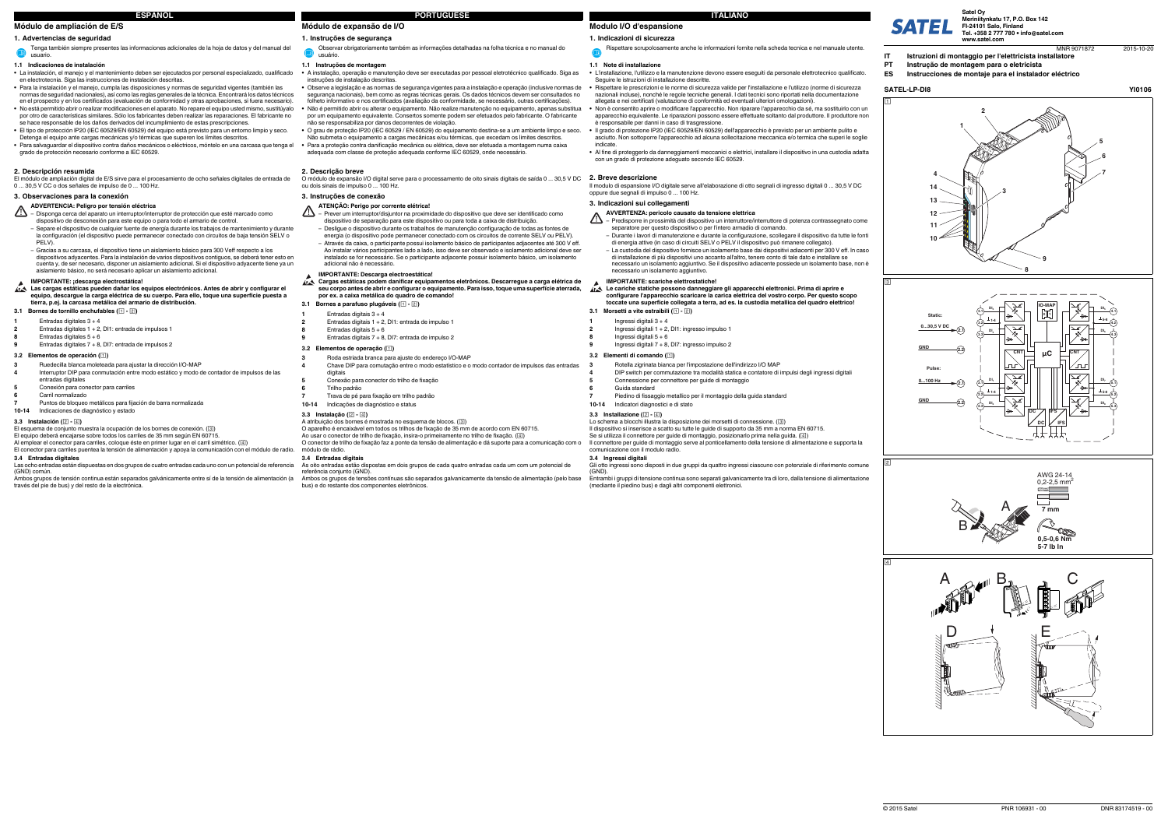### **1. Indicazioni di sicurezza**

### **1.1 Note di installazione**

- **•** L'installazione, l'utilizzo e la manutenzione devono essere eseguiti da personale elettrotecnico qualificato. Seguire le istruzioni di installazione descritte.
- **•** Rispettare le prescrizioni e le norme di sicurezza valide per l'installazione e l'utilizzo (norme di sicurezza nazionali incluse), nonché le regole tecniche generali. I dati tecnici sono riportati nella documentazione
- allegata e nei certificati (valutazione di conformità ed eventuali ulteriori omologazioni). **•** Non è consentito aprire o modificare l'apparecchio. Non riparare l'apparecchio da sé, ma sostituirlo con un
- apparecchio equivalente. Le riparazioni possono essere effettuate soltanto dal produttore. Il produttore non è responsabile per danni in caso di trasgressione. **•** Il grado di protezione IP20 (IEC 60529/EN 60529) dell'apparecchio è previsto per un ambiente pulito e
- asciutto. Non sottoporre l'apparecchio ad alcuna sollecitazione meccanica e/o termica che superi le soglie indicate.
- **•** Al fine di proteggerlo da danneggiamenti meccanici o elettrici, installare il dispositivo in una custodia adatta con un grado di protezione adeguato secondo IEC 60529.

Il dispositivo si inserisce a scatto su tutte le guide di supporto da 35 mm a norma EN 60715. Se si utilizza il connettore per guide di montaggio, posizionarlo prima nella guida. (4)

Il modulo di espansione I/O digitale serve all'elaborazione di otto segnali di ingresso digitali 0 ... 30,5 V DC oppure due segnali di impulso 0 ... 100 Hz.

### **3. Indicazioni sui collegamenti**

- ⚠ – Predisporre in prossimità del dispositivo un interruttore/interruttore di potenza contrassegnato come separatore per questo dispositivo o per l'intero armadio di comando.
	- Durante i lavori di manutenzione e durante la configurazione, scollegare il dispositivo da tutte le fonti di energia attive (in caso di circuiti SELV o PELV il dispositivo può rimanere collegato).
	- La custodia del dispositivo fornisce un isolamento base dai dispositivi adiacenti per 300 V eff. In caso di installazione di più dispositivi uno accanto all'altro, tenere conto di tale dato e installare se necessario un isolamento aggiuntivo. Se il dispositivo adiacente possiede un isolamento base, non è necessario un isolamento aggiuntivo.

Il connettore per guide di montaggio serve al ponticellamento della tensione di alimentazione e supporta la

comunicazione con il modulo radio.**3.4 Ingressi digitali**

(GND).

Entrambi i gruppi di tensione continua sono separati galvanicamente tra di loro, dalla tensione di alimentazione

(mediante il piedino bus) e dagli altri componenti elettronici.

Lo schema a blocchi illustra la disposizione dei morsetti di connessione. ([3])

Rispettare scrupolosamente anche le informazioni fornite nella scheda tecnica e nel manuale utente.

### **AVVERTENZA: pericolo causato da tensione elettrica**

**3.1 Morsetti a vite estraibili ( - ) Le cariche statiche possono danneggiare gli apparecchi elettronici. Prima di aprire e configurare l'apparecchio scaricare la carica elettrica del vostro corpo. Per questo scopo toccate una superficie collegata a terra, ad es. la custodia metallica del quadro elettrico!**

- 
- Ingressi digitali 3 <sup>+</sup> 4
- Ingressi digitali 1 + 2, DI1: ingresso impulso 1
- **8** Ingressi digitali 5 <sup>+</sup> 6 **9**Ingressi digitali 7 + 8, DI7: ingresso impulso 2
- 
- **3.2 Elementi di comando ()**

El equipo deberá encajarse sobre todos los carriles de 35 mm según EN 60715. Al emplear el conector para carriles, coloque éste en primer lugar en el carril simétrico. (4)

### **IMPORTANTE: scariche elettrostatiche!**

**1**

**2**

- ∧ – Disponga cerca del aparato un interruptor/interruptor de protección que esté marcado como dispositivo de desconexión para este equipo o para todo el armario de control. Separe el dispositivo de cualquier fuente de energía durante los trabajos de mantenimiento y durante la configuración (el dispositivo puede permanecer conectado con circuitos de baja tensión SELV o PELV).
	- Gracias a su carcasa, el dispositivo tiene un aislamiento básico para 300 Veff respecto a los dispositivos adyacentes. Para la instalación de varios dispositivos contiguos, se deberá tener esto en cuenta y, de ser necesario, disponer un aislamiento adicional. Si el dispositivo adyacente tiene ya un aislamiento básico, no será necesario aplicar un aislamiento adicional.

**3**Rotella zigrinata bianca per l'impostazione dell'indirizzo I/O MAP

- **4**DIP switch per commutazione tra modalità statica e contatore di impulsi degli ingressi digitali
- Connessione per connettore per guide di montaggio

**5**

- Las cargas estáticas pueden dañar los equipos electrónicos. Antes de abrir y configurar el<br>equipo, descargue la carga eléctrica de su cuerpo. Para ello, toque una superficie puesta a<br>tierra, p.ej. la carcasa metálica del a
- **3.1 Bornes de tornillo enchufables ( )**
- **1**Entradas digitales  $3 + 4$
- **2**Entradas digitales 1 + 2, DI1: entrada de impulsos 1
- **8**Entradas digitales  $5 + 6$
- **9**Entradas digitales 7 + 8, DI7: entrada de impulsos 2

**6**

Guida standard

3.3 **Installazione**  $(2 - 4)$ 

**7**

Piedino di fissaggio metallico per il montaggio della guida standard

**10-14**

Indicatori diagnostici e di stato

# **Módulo de ampliación de E/S**

# **1. Advertencias de seguridad**

### **1.1 Indicaciones de instalación**

- **•** La instalación, el manejo y el mantenimiento deben ser ejecutados por personal especializado, cualificado en electrotecnia. Siga las instrucciones de instalación descritas.
- **•** Para la instalación y el manejo, cumpla las disposiciones y normas de seguridad vigentes (también las normas de seguridad nacionales), así como las reglas generales de la técnica. Encontrará los datos técnicos en el prospecto y en los certificados (evaluación de conformidad y otras aprobaciones, si fuera necesario).
- **•** No está permitido abrir o realizar modificaciones en el aparato. No repare el equipo usted mismo, sustitúyalo por otro de características similares. Sólo los fabricantes deben realizar las reparaciones. El fabricante no se hace responsable de los daños derivados del incumplimiento de estas prescripciones.
- **•** El tipo de protección IP20 (IEC 60529/EN 60529) del equipo está previsto para un entorno limpio y seco. Detenga el equipo ante cargas mecánicas y/o térmicas que superen los límites descritos.
- **•** Para salvaguardar el dispositivo contra daños mecánicos o eléctricos, móntelo en una carcasa que tenga el grado de protección necesario conforme a IEC 60529.

- A atribuição dos bornes é mostrada no esquema de blocos. ( $\overline{3}$ )
- O aparelho é encaixável em todos os trilhos de fixação de 35 mm de acordo com EN 60715.

### **ATENÇÃO: Perigo por corrente elétrica!**  $\Lambda$

# **2. Descripción resumida**

**2. Breve descrizione** O módulo de expansão I/O digital serve para o processamento de oito sinais digitais de saída 0 ... 30,5 V DC ou dois sinais de impulso 0 ... 100 Hz.

El módulo de ampliación digital de E/S sirve para el procesamiento de ocho señales digitales de entrada de 0 ... 30,5 V CC o dos señales de impulso de 0 ... 100 Hz.

# **3. Observaciones para la conexión**

### **3.2 Elementos de operación ()**

# El conector para carriles puentea la tensión de alimentación y apoya la comunicación con el módulo de radio.

# **Modulo I/O d'espansione ITALIANO**

**3.4 Entradas digitales** Las ocho entradas están dispuestas en dos grupos de cuatro entradas cada uno con un potencial de referencia

(GND) común.

Ambos grupos de tensión continua están separados galvánicamente entre sí de la tensión de alimentación (a través del pie de bus) y del resto de la electrónica.

Tenga también siempre presentes las informaciones adicionales de la hoja de datos y del manual del  $\bullet$ usuario.

# **ADVERTENCIA: Peligro por tensión eléctrica**

# **IMPORTANTE: ¡descarga electrostática!**

**3**

- Ruedecilla blanca moleteada para ajustar la dirección I/O-MAP
- **4** Interruptor DIP para conmutación entre modo estático y modo de contador de impulsos de las entradas digitales
- **5**Conexión para conector para carriles
- **6**Carril normalizado

**7**Puntos de bloqueo metálicos para fijación de barra normalizada

# **10-14** Indicaciones de diagnóstico y estado

# **3.3 Instalación**  $(2 - 4)$

El esquema de conjunto muestra la ocupación de los bornes de conexión.  $(\overline{3})$ 

# **Módulo de expansão de I/O**

# **1. Instruções de segurança**

### **1.1 Instruções de montagem**

**•**

- **•** A instalação, operação e manutenção deve ser executadas por pessoal eletrotécnico qualificado. Siga as instruções de instalação descritas.
- Observe a legislação e as normas de segurança vigentes para a instalação e operação (inclusive normas de segurança nacionais), bem como as regras técnicas gerais. Os dados técnicos devem ser consultados no folheto informativo e nos certificados (avaliação da conformidade, se necessário, outras certificações). Não é permitido abrir ou alterar o equipamento. Não realize manutenção no equipamento, apenas substitua por um equipamento equivalente. Consertos somente podem ser efetuados pelo fabricante. O fabricante não se responsabiliza por danos decorrentes de violação.
- **•** O grau de proteção IP20 (IEC 60529 / EN 60529) do equipamento destina-se a um ambiente limpo e seco. Não submeta o equipamento a cargas mecânicas e/ou térmicas, que excedam os limites descritos. **•** Para a proteção contra danificação mecânica ou elétrica, deve ser efetuada a montagem numa caixa adequada com classe de proteção adequada conforme IEC 60529, onde necessário.

### **2. Descrição breve**

### **3. Instruções de conexão**

# **3.2 Elementos de operação ()**

# **3.3 Instalação ( - )**

Ao usar o conector de trilho de fixação, insira-o primeiramente no trilho de fixação. ()

O conector de trilho de fixação faz a ponte da tensão de alimentação e dá suporte para a comunicação com o módulo de rádio.

# **3.4 Entradas digitais**

As oito entradas estão dispostas em dois grupos de cada quatro entradas cada um com um potencial de

- referência conjunto (GND).
- Ambos os grupos de tensões contínuas são separados galvanicamente da tensão de alimentação (pelo base bus) e do restante dos componentes eletrônicos.

Observar obrigatoriamente também as informações detalhadas na folha técnica e no manual do usuário.

- Prever um interruptor/disjuntor na proximidade do dispositivo que deve ser identificado como dispositivo de separação para este dispositivo ou para toda a caixa de distribuição.
- Desligue o dispositivo durante os trabalhos de manutenção configuração de todas as fontes de energia (o dispositivo pode permanecer conectado com os circuitos de corrente SELV ou PELV). – Através da caixa, o participante possui isolamento básico de participantes adjacentes até 300 V eff. Ao instalar vários participantes lado a lado, isso deve ser observado e isolamento adicional deve ser instalado se for necessário. Se o participante adjacente possuir isolamento básico, um isolamento adicional não é necessário.

# **IMPORTANTE: Descarga electroestática!**

- **Cargas estáticas podem danificar equipamentos eletrônicos. Descarregue a carga elétrica de seu corpo antes de abrir e configurar o equipamento. Para isso, toque uma superfície aterrada, por ex. a caixa metálica do quadro de comando!**
- **3.1 Bornes a parafuso plugáveis ( )**
- **1**Entradas digitais  $3 + 4$
- **2**Entradas digitais 1 + 2, DI1: entrada de impulso 1
- **8**Entradas digitais  $5 + 6$
- **9**Entradas digitais 7 + 8, DI7: entrada de impulso 2

**3**

**4**

- Roda estriada branca para ajuste do endereço I/O-MAP
- Chave DIP para comutação entre o modo estatístico e o modo contador de impulsos das entradas digitais
- Conexão para conector do trilho de fixação
- **6**Trilho padrão
- **7** Trava de pé para fixação em trilho padrão **10-14**Indicações de diagnóstico e status

**5**

**ESPAÑOL**

# **PORTUGUÊSE**

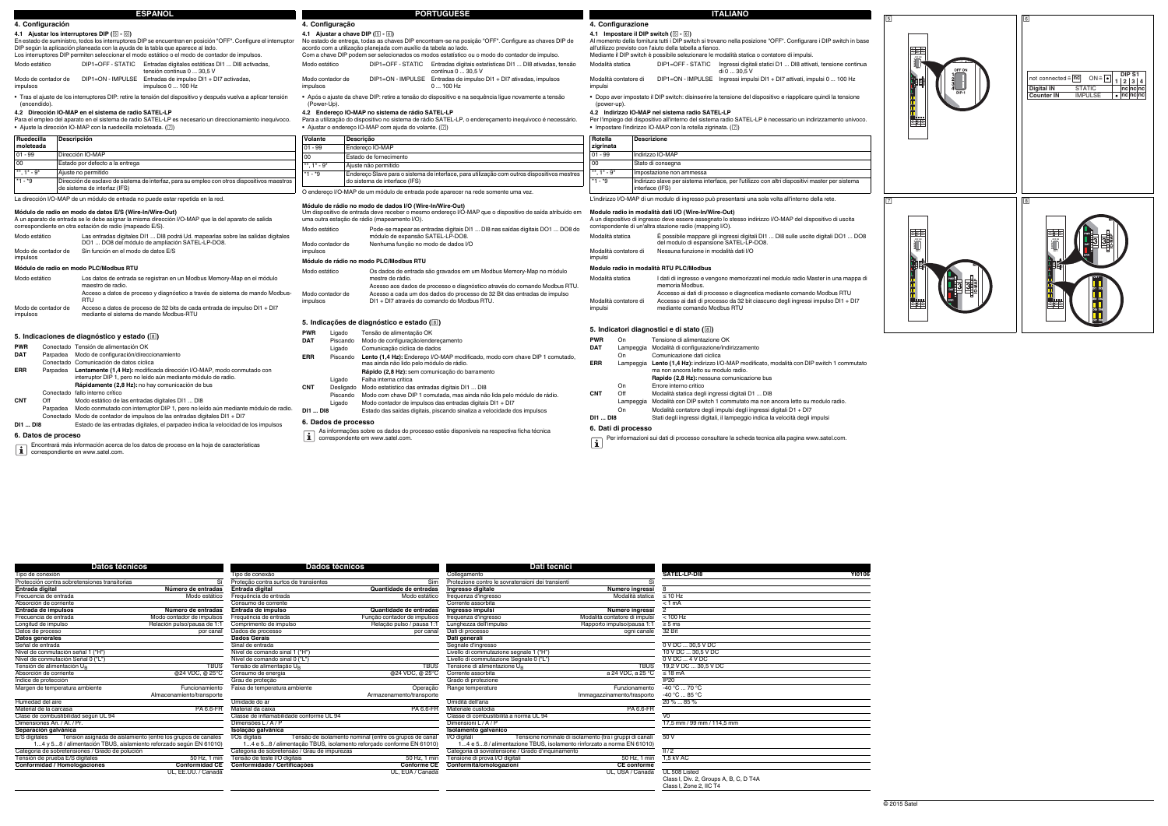### **Datos técnicosDados técnicos Dati tecnicial de la constitución de la constitución de la constitución de la constitución de la constitución de la constitución de la constitución de la constitución de la constitución de la constitución** Tipo de conexión Tipo de conexão Collegamento **SATEL-LP-DI8 YI0106** Protección contra sobretensiones transitorias Sí Proteção contra surtos de transientes Sim Protezione contro le sovratensioni dei transienti Sì **Entrada digital**<br> **Entrada digital**<br> **Entrada digital**<br> **Encuencia de entradas**<br> **Encuencia de entrada digital**<br> **Ingresso digitale**<br> **Ingresso digitale**<br> **Ingresso digitale**<br> **Ingresso digitale**<br> **Ingresso digitale**<br> **In** Frecuencia de entrada modo estático Hodo estático Frequência de entrada modo estático frequenza d'ingresso modo estático frequenza d'ingresso Modalità statica ≤ 10 Hz Absorción de corriente corrente corrente Consumo de corrente corrente corrente corrente Corrente assorbita corrente assorbita corrente corrente corrente corrente corrente corrente corrente corrente corrente corrente corren **Entrada de impulsos bumero de entradas**<br> **Entrada de entrada de impulsos de entrada de entrada de entrada por el entrada entrada entradas ingulsos frequenza d'ingresso <b>Modalità contador de impulsos Modalità contador de** Frecuencia de entrada Modo contador de impulsos Frequência de entrada Função contador de impulsos Frequência de entrada Função contador de impulsos Frequência de entrada Função contador de impulsos frequência de entrada Fu Relación pulso/pausa de 1:1 Datos de proceso por canal Dados de processo por canal Dati di porcanal Dati di processo por canale 32 Bit **Datos generales**<br> **Datos generales**<br> **Datos generales**<br> **Datos generales**<br> **Datos Gerais**<br> **Datos Gerais**<br> **Datos Gerais**<br> **Datos Gerais**<br> **Datos Gerais**<br> **Datos Gerais**<br> **Datos Gerais**<br> **Datos Gerais**<br> **Datos Gerais**<br> **D** Señal de entrada Sinal de entrada Segnale d'ingresso 0 V DC ... 30,5 V DC Nivel de conmutación señal 1 ("H") Nível de comando sinal 1 ("H") Livello di commutazione segnale 1 ("H") 10 V DC ... 30,5 V DC Nivel de conmutación Señal 0 ("L")<br>Nivel de conmutación Señal 0 ("L")<br>Tensión de alimentación U<sub>R</sub> ("L") TEUS Tensão de alimentação U<sub>R</sub> ("L") TEUS Tensione di alimentazione U<sub>R</sub> ("L") TENS TENS TENS TENS TENS TENS TENS TE Tensión de alimentación U<sub>B</sub><br>Absorción de corriente <sub>B</sub> Tensão de alimentação U<sub>B</sub> Tensão de alimentação U<sub>B</sub> TEUS Tensione di alimentazione U<sub>B</sub> TBUS 19,2 V DC ... 30,5 V DC Absorción de corriente corrente consumente a caractería @24 VDC, @ 25°C Consumo de energia computado a 24 VDC, @ 25°C Corrente assorbita a 24 VDC, a 25 °C ≤ 18 mA Indice de protección **Grau de proteção** Grau de proteção Grau de proteção Grado di protezione IP20 Grando di protezione IP20<br>Margen de temperatura ambiente Funzionamento Funcionamiento Faixa de temperatura ambiente **Operaç** Almacenamiento/transporte Armazenamento/transporte Caracterisation Communication Caracterisation Communication<br>Armazenamento/transporte Armazenamento/transporte Armazenamento/transporte Immagazzinamento/trasporte Immagazzi Humedad del aire Umidade do ar Umidità dell'aria 20 % ... 85 %Material de la carcasa PA 6.6-FR Material da caixa PA 6.6-FR Materiale custodia PA 6.6-FRMaterial de la carcasa<br>Classe de combustibilidad según UL 94 Classe de inflamabilidade conforme UL 94 Classe de inflamabilidade conforme UL 94 Classe de inflamabilidade conforme UL 94 Classe di combustibilità a norma UL 94 Dimensiones An. / Al. / Pr. Dimensiones An. / Al. / Pr. **Separación galvánica Isolação galvânica Isolamento galvanico** E/S digitales Tensión asignada de aislamiento (entre los grupos de canales 1...4 y 5...8 / ension asignada de alimento reforzado según EN 61010)<br>
Tanda de sobretensiones / Grado de polución<br>
Tensión de prueba E/S digitales 50 de polución 50 Hz, 1 min E/S digitales Tension asignada de aislamiento (entre los grupos de canales VOs digitais Tensão de isolamento nominal (entre os grupos de canal VO digitali Tensione nominale di isolamento (tra i gruppi di canali 50 V<br>Catego I/O digitali Tensione nominale di isolamento (tra i gruppi di canali 1...4 e 5...8 / alimentazione TBUS, isolamento rinforzato a norma EN 61010) **Conformidad / Homologaciones Conformidad CE Conformidade / Certificações Conforme CE Conformità/omologazioni CE conforme** UL, EE.UU. / Canadá UL, EUA / Canadá UL, USA / Canada UL 508 Listed

**4.2 Indirizzo IO-MAP nel sistema radio SATEL-LP** Per l'impiego del dispositivo all'interno del sistema radio SATEL-LP è necessario un indirizzamento univoco.  $IO-MAP$  con la rotella zigrinata.  $(\overline{z})$ 

- **DI1 ... DI8**Stati degli ingressi digitali, il lampeggio indica la velocità degli impulsi
- 
- **6. Dati di processo**
- Per informazioni sui dati di processo consultare la scheda tecnica alla pagina www.satel.com.

| SATEL-LP-DI8                           | <b>YI0106</b> |
|----------------------------------------|---------------|
|                                        |               |
| 8                                      |               |
| $\leq 10$ Hz                           |               |
| < 1 mA                                 |               |
| $\overline{2}$                         |               |
| $< 100$ Hz                             |               |
| $\geq 5$ ms                            |               |
| 32 Bit                                 |               |
| 0 V DC  30,5 V DC                      |               |
| 10 V DC  30,5 V DC                     |               |
| $0$ V DC $$ 4 V DC                     |               |
| 19,2 V DC  30,5 V DC                   |               |
| $< 18 \text{ mA}$                      |               |
| IP <sub>20</sub>                       |               |
| $-40 °C  70 °C$                        |               |
| -40 °C  85 °C                          |               |
| 20 %  85 %                             |               |
|                                        |               |
| $\overline{V}0$                        |               |
| 17,5 mm / 99 mm / 114,5 mm             |               |
| 50V                                    |               |
|                                        |               |
| $\frac{1}{2}$                          |               |
| 1,5 kV AC                              |               |
|                                        |               |
| UL 508 Listed                          |               |
| Class I, Div. 2, Groups A, B, C, D T4A |               |
| Class I, Zone 2, IIC T4                |               |

### **Modulo radio in modalità dati I/O (Wire-In/Wire-Out)**

### **Modulo radio in modalità RTU PLC/Modbus**

|                                  | A un dispositivo di ingresso deve essere assegnato lo stesso indirizzo I/O-MAP del dispositivo di uscita<br>corrispondente di un'altra stazione radio (mapping I/O). |
|----------------------------------|----------------------------------------------------------------------------------------------------------------------------------------------------------------------|
| Modalità statica                 | È possibile mappare gli ingressi digitali DI1  DI8 sulle uscite digitali DO1  DO8<br>del modulo di espansione SATEL-LP-DO8.                                          |
| Modalità contatore di<br>imnuloi | Nessuna funzione in modalità dati I/O                                                                                                                                |

| посыа<br>zigrinata | Descrizione                                                                                                       |
|--------------------|-------------------------------------------------------------------------------------------------------------------|
| $01 - 99$          | Indirizzo IO-MAP                                                                                                  |
| 00 <sup>1</sup>    | Stato di consegna                                                                                                 |
| ** $1* - 9*$       | Impostazione non ammessa                                                                                          |
| $*1 - *9$          | Indirizzo slave per sistema interface, per l'utilizzo con altri dispositivi master per sistema<br>interface (IFS) |

un modulo di ingresso può presentarsi una sola volta all'interno della rete.

| Modalità statica                 | I dati di ingresso e vengono memorizzati nel modulo radio Master in una mappa di<br>memoria Modbus.                                                                                     |  |  |
|----------------------------------|-----------------------------------------------------------------------------------------------------------------------------------------------------------------------------------------|--|--|
| Modalità contatore di<br>impulsi | Accesso ai dati di processo e diagnostica mediante comando Modbus RTU<br>Accesso ai dati di processo da 32 bit ciascuno degli ingressi impulso DI1 + DI7<br>mediante comando Modbus RTU |  |  |

# **10. Indicate (i**

| WR | On        | Tensione di alimentazione OK                                                                |
|----|-----------|---------------------------------------------------------------------------------------------|
| ΑТ | Lampeggia | Modalità di configurazione/indirizzamento                                                   |
|    | On        | Comunicazione dati ciclica                                                                  |
| RR |           | Lampeggia Lento (1,4 Hz): indirizzo I/O-MAP modificato, modalità con DIP switch 1 commutato |
|    |           | ma non ancora letto su modulo radio.                                                        |
|    |           | Rapido (2,8 Hz): nessuna comunicazione bus                                                  |
|    | On        | Errore interno critico                                                                      |
| NΤ | Off       | Modalità statica degli ingressi digitali D1  DI8                                            |
|    | Lampeggia | Modalità con DIP switch 1 commutato ma non ancora letto su modulo radio.                    |
|    | On        | Modalità contatore degli impulsi degli ingressi digitali D1 + DI7                           |

# **6. Datos de proceso**

|                                                                                 |                     |                                                                                                                                                            | <b>ESPAÑOL</b>                                                                                                                                                                                                                                                                                     |                                           |                                                                                   |                                                                                                                                                                                    | <b>PORTUGUËSE</b>                                                                                                                                                                                                                                                          |                             |                                                                                                                               |                  |
|---------------------------------------------------------------------------------|---------------------|------------------------------------------------------------------------------------------------------------------------------------------------------------|----------------------------------------------------------------------------------------------------------------------------------------------------------------------------------------------------------------------------------------------------------------------------------------------------|-------------------------------------------|-----------------------------------------------------------------------------------|------------------------------------------------------------------------------------------------------------------------------------------------------------------------------------|----------------------------------------------------------------------------------------------------------------------------------------------------------------------------------------------------------------------------------------------------------------------------|-----------------------------|-------------------------------------------------------------------------------------------------------------------------------|------------------|
|                                                                                 | 4. Configuración    |                                                                                                                                                            |                                                                                                                                                                                                                                                                                                    |                                           | 4. Configuração                                                                   |                                                                                                                                                                                    |                                                                                                                                                                                                                                                                            |                             | 4. Configurazione                                                                                                             |                  |
|                                                                                 |                     | 4.1 Ajustar los interruptores DIP (5 - 6)                                                                                                                  | En estado de suministro, todos los interruptores DIP se encuentran en posición "OFF". Configure el interruptor<br>DIP según la aplicación planeada con la ayuda de la tabla que aparece al lado.<br>Los interruptores DIP permiten seleccionar el modo estático o el modo de contador de impulsos. |                                           |                                                                                   | 4.1 Ajustar a chave DIP (5 - 6)<br>acordo com a utilização planejada com auxílio da tabela ao lado.                                                                                | No estado de entrega, todas as chaves DIP encontram-se na posição "OFF". Configure as chaves DIP de<br>Com a chave DIP podem ser selecionados os modos estatístico ou o modo do contador de impulso.                                                                       |                             | 4.1 Impostare il DIP swit<br>Al momento della fornitura t<br>all'utilizzo previsto con l'aiut<br>Mediante il DIP switch è pos |                  |
| Modo estático                                                                   |                     | DIP1=OFF - STATIC                                                                                                                                          | Entradas digitales estáticas DI1  DI8 activadas,<br>tensión continua 0  30,5 V                                                                                                                                                                                                                     | Modo estático                             |                                                                                   |                                                                                                                                                                                    | DIP1=OFF - STATIC Entradas digitais estatísticas DI1  DI8 ativadas, tensão<br>contínua 0  30,5 V                                                                                                                                                                           | Modalità statica            |                                                                                                                               | D                |
| impulsos                                                                        | Modo de contador de |                                                                                                                                                            | DIP1=ON - IMPULSE Entradas de impulso DI1 + DI7 activadas,<br>impulsos 0  100 Hz                                                                                                                                                                                                                   | impulsos                                  | Modo contador de                                                                  |                                                                                                                                                                                    | DIP1=ON - IMPULSE Entradas de impulso DI1 + DI7 ativadas, impulsos<br>$0100$ Hz                                                                                                                                                                                            | impulsi                     | Modalità contatore di                                                                                                         |                  |
| (encendido).                                                                    |                     |                                                                                                                                                            | · Tras el ajuste de los interruptores DIP: retire la tensión del dispositivo y después vuelva a aplicar tensión                                                                                                                                                                                    | (Power-Up).                               |                                                                                   |                                                                                                                                                                                    | · Após o ajuste da chave DIP: retire a tensão do dispositivo e na sequência ligue novamente a tensão                                                                                                                                                                       |                             | · Dopo aver impostato il DI<br>(power-up).                                                                                    |                  |
|                                                                                 |                     | 4.2 Dirección IO-MAP en el sistema de radio SATEL-LP<br>• Ajuste la dirección IO-MAP con la ruedecilla moleteada. ([7])                                    | Para el empleo del aparato en el sistema de radio SATEL-LP es necesario un direccionamiento inequívoco.                                                                                                                                                                                            |                                           |                                                                                   | 4.2 Endereco IO-MAP no sistema de rádio SATEL-LP<br>• Ajustar o endereco IO-MAP com ajuda do volante. $(\sqrt{2})$                                                                 | Para a utilização do dispositivo no sistema de rádio SATEL-LP, o endereçamento inequívoco é necessário.                                                                                                                                                                    |                             | 4.2 Indirizzo IO-MAP nel<br>Per l'impiego del dispositivo<br>· Impostare l'indirizzo IO-M                                     |                  |
| Ruedecilla                                                                      |                     | Descripción                                                                                                                                                |                                                                                                                                                                                                                                                                                                    | Volante                                   |                                                                                   | Descrição                                                                                                                                                                          |                                                                                                                                                                                                                                                                            | Rotella                     | <b>Descrizio</b>                                                                                                              |                  |
| moleteada                                                                       |                     |                                                                                                                                                            |                                                                                                                                                                                                                                                                                                    | $01 - 99$                                 |                                                                                   | Endereço IO-MAP                                                                                                                                                                    |                                                                                                                                                                                                                                                                            | zigrinata                   |                                                                                                                               |                  |
| $01 - 99$                                                                       |                     | Dirección IO-MAP                                                                                                                                           |                                                                                                                                                                                                                                                                                                    | 00                                        |                                                                                   | Estado de fornecimento                                                                                                                                                             |                                                                                                                                                                                                                                                                            | $01 - 99$                   | Indirizzo IO                                                                                                                  |                  |
| 00                                                                              |                     | Estado por defecto a la entrega                                                                                                                            |                                                                                                                                                                                                                                                                                                    | **, $1^*$ - $9^*$                         |                                                                                   | Ajuste não permitido                                                                                                                                                               |                                                                                                                                                                                                                                                                            | 00                          | Stato di co                                                                                                                   |                  |
| **, $1^*$ - $9^*$                                                               |                     | Ajuste no permitido                                                                                                                                        |                                                                                                                                                                                                                                                                                                    | $*1 - *9$                                 |                                                                                   |                                                                                                                                                                                    | Endereço Slave para o sistema de interface, para utilização com outros dispositivos mestres                                                                                                                                                                                | **, 1* - 9*<br>$*1 - *9$    | Impostazio                                                                                                                    |                  |
| $*1 - *9$                                                                       |                     | de sistema de interfaz (IFS)                                                                                                                               | Dirección de esclavo de sistema de interfaz, para su empleo con otros dispositivos maestros                                                                                                                                                                                                        |                                           |                                                                                   | do sistema de interface (IFS)                                                                                                                                                      |                                                                                                                                                                                                                                                                            |                             | Indirizzo s<br>interface (                                                                                                    |                  |
| La dirección I/O-MAP de un módulo de entrada no puede estar repetida en la red. |                     |                                                                                                                                                            |                                                                                                                                                                                                                                                                                                    |                                           | O endereco I/O-MAP de um módulo de entrada pode aparecer na rede somente uma vez. |                                                                                                                                                                                    | L'indirizzo I/O-MAP di un me                                                                                                                                                                                                                                               |                             |                                                                                                                               |                  |
| Modo estático                                                                   | Modo de contador de | Módulo de radio en modo de datos E/S (Wire-In/Wire-Out)<br>correspondiente en otra estación de radio (mapeado E/S).<br>Sin función en el modo de datos E/S | A un aparato de entrada se le debe asignar la misma dirección I/O-MAP que la del aparato de salida<br>Las entradas digitales DI1  DI8 podrá Ud. mapearlas sobre las salidas digitales<br>DO1  DO8 del módulo de ampliación SATEL-LP-DO8.                                                           | Modo estático<br>impulsos                 | Modo contador de                                                                  | Módulo de rádio no modo de dados I/O (Wire-In/Wire-Out)<br>uma outra estação de rádio (mapeamento I/O).<br>módulo de expansão SATEL-LP-DO8.<br>Nenhuma função no modo de dados I/O | Um dispositivo de entrada deve receber o mesmo endereco I/O-MAP que o dispositivo de saída atribuído em<br>Pode-se mapear as entradas digitais DI1  DI8 nas saídas digitais DO1  DO8 do                                                                                    | Modalità statica            | Modulo radio in modalità<br>A un dispositivo di ingresso<br>corrispondente di un'altra st<br>Modalità contatore di            | È<br>N           |
| impulsos                                                                        |                     |                                                                                                                                                            |                                                                                                                                                                                                                                                                                                    |                                           |                                                                                   | Módulo de rádio no modo PLC/Modbus RTU                                                                                                                                             |                                                                                                                                                                                                                                                                            | impulsi                     |                                                                                                                               |                  |
| Modo estático<br>impulsos                                                       | Modo de contador de | Módulo de radio en modo PLC/Modbus RTU<br>maestro de radio.<br><b>RTU</b><br>mediante el sistema de mando Modbus-RTU                                       | Los datos de entrada se registran en un Modbus Memory-Map en el módulo<br>Acceso a datos de proceso y diagnóstico a través de sistema de mando Modbus-<br>Acceso a datos de proceso de 32 bits de cada entrada de impulso DI1 + DI7                                                                | Modo estático<br>impulsos                 | Modo contador de                                                                  | mestre de rádio.                                                                                                                                                                   | Os dados de entrada são gravados em um Modbus Memory-Map no módulo<br>Acesso aos dados de processo e diagnóstico através do comando Modbus RTU.<br>Acesso a cada um dos dados do processo de 32 Bit das entradas de impulso<br>DI1 + DI7 através do comando do Modbus RTU. | Modalità statica<br>impulsi | Modulo radio in modalità<br>Modalità contatore di                                                                             | n<br>A<br>m      |
|                                                                                 |                     |                                                                                                                                                            |                                                                                                                                                                                                                                                                                                    | 5. Indicações de diagnóstico e estado (8) |                                                                                   |                                                                                                                                                                                    |                                                                                                                                                                                                                                                                            |                             |                                                                                                                               |                  |
|                                                                                 |                     | 5. Indicaciones de diagnóstico y estado (8)                                                                                                                |                                                                                                                                                                                                                                                                                                    | <b>PWR</b><br><b>DAT</b>                  | Ligado                                                                            | Tensão de alimentação OK                                                                                                                                                           |                                                                                                                                                                                                                                                                            | <b>PWR</b>                  | 5. Indicatori diagnost<br>On                                                                                                  | Ter              |
| <b>PWR</b>                                                                      |                     | Conectado Tensión de alimentación OK                                                                                                                       |                                                                                                                                                                                                                                                                                                    |                                           | Piscando<br>Ligado                                                                | Modo de configuração/endereçamento<br>Comunicação cíclica de dados                                                                                                                 |                                                                                                                                                                                                                                                                            | <b>DAT</b>                  | Lampeggia Mo                                                                                                                  |                  |
| <b>DAT</b>                                                                      |                     | Parpadea Modo de configuración/direccionamiento<br>Conectado Comunicación de datos cíclica                                                                 |                                                                                                                                                                                                                                                                                                    | <b>ERR</b>                                | Piscando                                                                          | mas ainda não lido pelo módulo de rádio.                                                                                                                                           | Lento (1,4 Hz): Endereco I/O-MAP modificado, modo com chave DIP 1 comutado,                                                                                                                                                                                                | <b>ERR</b>                  | On<br>Lampeggia Ler                                                                                                           | Cor              |
| <b>ERR</b>                                                                      |                     |                                                                                                                                                            | Parpadea Lentamente (1,4 Hz): modificada dirección I/O-MAP, modo conmutado con<br>interruptor DIP 1, pero no leído aún mediante módulo de radio.<br>Rápidamente (2,8 Hz): no hay comunicación de bus                                                                                               | CNT                                       | Ligado                                                                            | Falha interna crítica<br>Desligado Modo estatístico das entradas digitais DI1  DI8                                                                                                 | Rápido (2,8 Hz): sem comunicação do barramento                                                                                                                                                                                                                             |                             | On                                                                                                                            | ma<br>Ra<br>Erro |
|                                                                                 |                     | Conectado fallo interno crítico                                                                                                                            |                                                                                                                                                                                                                                                                                                    |                                           | Piscando                                                                          |                                                                                                                                                                                    | Modo com chave DIP 1 comutada, mas ainda não lida pelo módulo de rádio.                                                                                                                                                                                                    | CNT                         | Off                                                                                                                           | Mo               |
| CNT                                                                             | Off                 | Modo estático de las entradas digitales DI1  DI8                                                                                                           | Parpadea Modo conmutado con interruptor DIP 1, pero no leído aún mediante módulo de radio.                                                                                                                                                                                                         | DI1  DI8                                  | Ligado                                                                            |                                                                                                                                                                                    | Modo contador de impulsos das entradas digitais DI1 + DI7<br>Estado das saídas digitais, piscando sinaliza a velocidade dos impulsos                                                                                                                                       |                             | Lampeggia Mo<br>On                                                                                                            | Mo               |

Conectado Modo de contador de impulsos de las entradas digitales DI1 <sup>+</sup> DI7 **DI1 ... DI8**Estado de las entradas digitales, el parpadeo indica la velocidad de los impulsos

- Encontrará más información acerca de los datos de proceso en la hoja de características correspondiente en www.satel.com.
- 

# **6. Dados de processo** As informações sobre os dados do processo estão disponíveis na respectiva ficha técnica correspondente em www.satel.com.

# **ITALIANO**

- **4.1 1.1 1.1 1.1 1.1 1.1 1.1 1.1 1.1 1.1 1.1 1.1 1.1 1.1 1.1 1.1 1.1 1.1 1.1 1.1 1.1 1.1 1.1 1.1 1.1 1.1 1.1 1.1 1.1 1.1 1.1 1.1 1.1 1.1 1.1 1.1 1.1**
- Altrich (CD C),<br>tura tutti i DIP switch si trovano nella posizione "OFF". Configurare i DIP switch in base l'aiuto della tabella a fianco.
- Mediante il Diplomatoria di Diplomatori.<br>È possibile selezionare le modalità statica o contatore di impulsi.
- Modalità statica DIP1=OFF STATIC Ingressi digitali statici D1 ... DI8 attivati, tensione continua di 0 ... 30,5 V DIP1=ON - IMPULSE Ingressi impulsi DI1 + DI7 attivati, impulsi 0 ... 100 Hz
- 
- il DIP switch: disinserire la tensione del dispositivo e riapplicare quindi la tensione

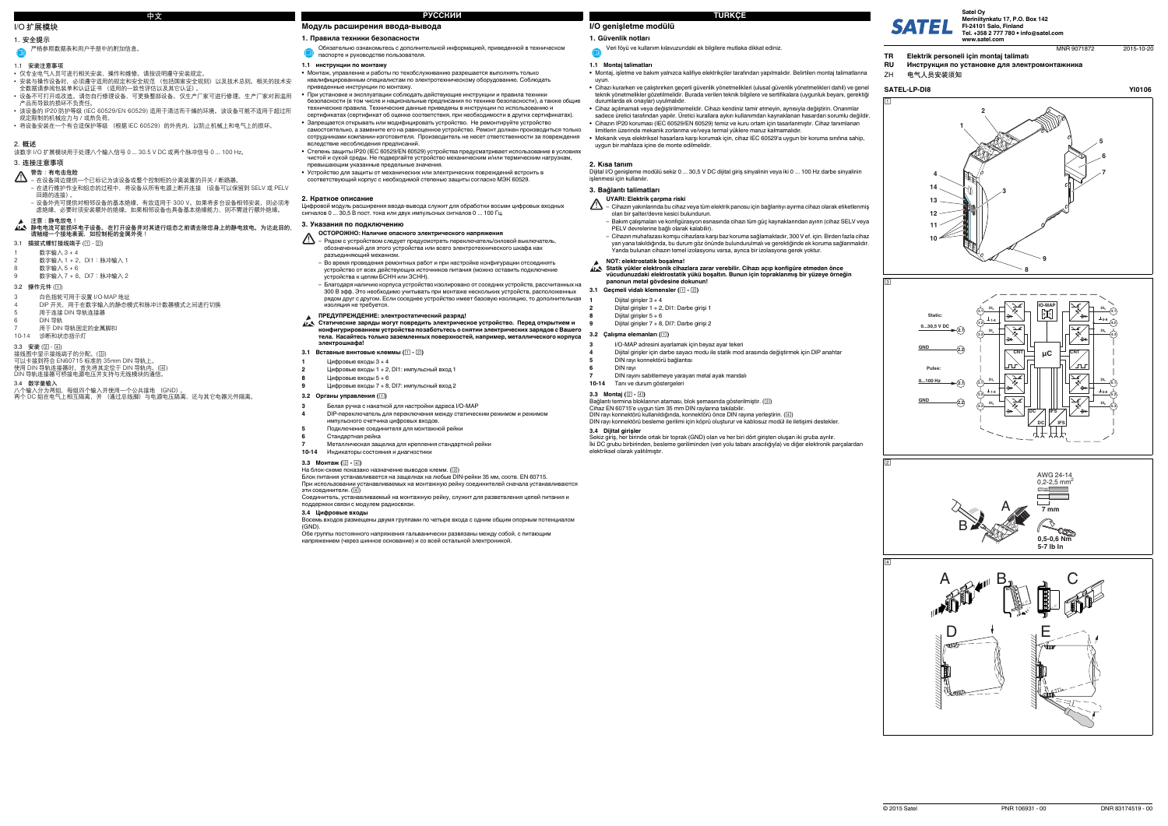# **I/O genişletme modülü**

# **1. Güvenlik notları**

# **1.1 Montaj talimatları**

- **•** Montaj, işletme ve bakım yalnızca kalifiye elektrikçiler tarafından yapılmalıdır. Belirtilen montaj talimatlarına uyun.
- Cihazı kurarken ve çalıştırırken geçerli güvenlik yönetmelikleri (ulusal güvenlik yönetmelikleri dahil) ve genel<br>1910- teknik yönetmelikler gözetilmelidir. Burada verilen teknik bilgilere ve sertifikalara (uygunluk beya durumlarda ek onaylar) uyulmalıdır.
- **•** Cihaz açılmamalı veya değiştirilmemelidir. Cihazı kendiniz tamir etmeyin, aynısıyla değiştirin. Onarımlar sadece üretici tarafından yapılır. Üretici kurallara aykırı kullanımdan kaynaklanan hasardan sorumlu değildir.
- **•** Cihazın IP20 koruması (IEC 60529/EN 60529) temiz ve kuru ortam için tasarlanmıştır. Cihaz tanımlanan limitlerin üzerinde mekanik zorlanma ve/veya termal yüklere maruz kalmamalıdır.
- **•** Mekanik veya elektriksel hasarlara karşı korumak için, cihaz IEC 60529'a uygun bir koruma sınıfına sahip, uygun bir mahfaza içine de monte edilmelidir.

**2. <b>Kısa tanım**<br>Dijital I/O genişleme modülü sekiz 0 ... 30,5 V DC dijital giriş sinyalinin veya iki 0 ... 100 Hz darbe sinyalinin<br>işlenmesi için kullanılır.

### **3. Bağlantı talimatları**

# **3.2 Çalışma elemanları ()**

**3.3 Montaj ( - )**

- $\mathbb{A}$ – Cihazın yakınlarında bu cihaz veya tüm elektrik panosu için bağlantıyı ayırma cihazı olarak etiketlenmiş olan bir şalter/devre kesici bulundurun.
	- Bakım çalışmaları ve konfigürasyon esnasında cihazı tüm güç kaynaklarından ayırın (cihaz SELV veya PELV devrelerine bağlı olarak kalabilir).
	- Cihazın muhafazası komşu cihazlara karşı baz koruma sağlamaktadır, 300 V ef. için. Birden fazla cihaz yan yana takıldığında, bu durum göz önünde bulundurulmalı ve gerektiğinde ek koruma sağlanmalıdır. Yanda bulunan cihazın temel izolasyonu varsa, ayrıca bir izolasyona gerek yoktur.

Bağlantı termina bloklarının ataması, blok şemasında gösterilmiştir. ( ) Cihaz EN 60715'e uygun tüm 35 mm DIN raylarına takılabilir. DIN rayı konnektörü kullanıldığında, konnektörü önce DIN rayına yerleştirin. ( )

**3.4 Dijital girişler**

- 该设备的 IP20 防护等级 (IEC 60529/EN 60529) 适用于清洁而干燥的环境。 该设备可能不适用于超过所 规定限制的机械应力与 / 或热负荷。
- 将设备安装在一个有合适保护等级 (根据 IEC 60529)的外壳内,以防止机械上和电气上的损坏。

Sekiz giriş, her birinde ortak bir toprak (GND) olan ve her biri dört girişten oluşan iki gruba ayrılır. İki DC grubu birbirinden, besleme geriliminden (veri yolu tabanı aracılığıyla) ve diğer elektronik parçalardan

elektriksel olarak yalıtılmıştır.

Veri föyü ve kullanım kılavuzundaki ek bilgilere mutlaka dikkat ediniz.

# **UYARI: Elektrik çarpma riski**

- **3.1 Geçmeli vidalı klemensler ( )**
- Dijital girişler  $3 + 4$
- **2**Dijital girişler 1 + 2, DI1: Darbe girişi 1

# **注意:静电放电!**静电电流可能损坏电子设备。在打开设备并对其进行组态之前请去除您身上的静电放电。为达此目的,<br>请触碰一个接地表面,如控制柜的金属外壳!

- 1 数字输入 3 + 4
- 数字输入 1 + 2, DI1: 脉冲输入 1  $\frac{1}{2}$ 数字输入 5 + 6
- $\frac{3}{2}$  数字输入 7 + 8, DI7: 脉冲输入 2

### **NOT: elektrostatik boşalma!**

# **Statik yükler elektronik cihazlara zarar verebilir. Cihazı açıp konfigüre etmeden önce**

DIN rayı konnektörü besleme gerilimi için köprü oluşturur ve kablosuz modül ile iletisimi destekler.

**vücudunuzdaki elektrostatik yükü boşaltın. Bunun için topraklanmış bir yüzeye örneğin panonun metal gövdesine dokunun!**

**1**

**9**

**8** Dijital girişler 5 <sup>+</sup> 6 Dijital girişler 7 + 8, DI7: Darbe girişi 2

**3**

I/O-MAP adresini ayarlamak için beyaz ayar tekeri

**4**

Dijital girişler için darbe sayacı modu ile statik mod arasında değiştirmek için DIP anahtar

Блок питания устанавливается на защелках на любые DIN-рейки 35 мм, соотв. EN 60715. При использовании устанавливаемых на монтажную рейку соединителей сначала устанав

### эти соединители. (④)

**5**

DIN rayı konnektörü bağlantısı

**6**

DIN rayı

**7**

DIN rayını sabitlemeye yarayan metal ayak mandalı

**10-14**

Tanı ve durum göstergeleri

# **I/O 扩展模块**

# **1. 安全提示**

### **1.1 安装注意事项**

- **•** 仅专业电气人员可进行相关安装、操作和维修。请按说明遵守安装规定。
- 安装与操作设备时,必须遵守适用的规定和安全规范 (包括国家安全规则)以及技术总则。相关的技术安<br>- 全数据请参阅包装单和认证证书 (适用的一致性评估以及其它认证)。
- 设备不可打开或改造。 请勿自行修理设备,可更换整部设备。仅生产厂家可进行修理。生产厂家对因滥用 产品而导致的损坏不负责任。

# **2. 概述**

该数字 I/O 扩展模块用于处理八个输入信号 0 ... 30.5 V DC 或两个脉冲信号 0 ... 100 Hz。

# **3. 连接注意事项**

### **3.1 插拔式螺钉接线端子 ( - )**

- **3.2 操作元件 ( )**
- 3 白色指轮可用于设置 I/O-MAP 地址
- 4 DIP 开关,用于在数字输入的静态模式和脉冲计数器模式之间进行切换 5 用于连接 DIN 导轨连接器
- 6 DIN 导轨
- ------------<br>用于 DIN 导轨固定的金属脚扣
- 10-14 诊断和状态指示灯
- **3.3 安装 ( )**
- 接线图中显示接线端子的分配。(③)
- 
- 可以卡接到符合 EN60715 标准的 35mm DIN 导轨上。<br>使用 DIN 导轨连接器时,首先将其定位于 DIN 导轨内。(国)<br>DIN 导轨连接器可桥接电源电压并支持与无线模块的通信。
- 
- **3.4 数字量输入**
- 八个输入分为两组,每组四个输入并使用一个公共接地 (GND)。 两个 DC 组在电气上相互隔离,并 (通过总线脚)与电源电压隔离,还与其它电器元件隔离。

- Статические заряды могут повредить электрическое устройство. Перед открытием и<br>конфигурированием устройства позаботьтесь о снятии электрических зарядов с Вашего **тела. Касайтесь только заземленных поверхностей, например, металлического корпуса электрошкафа!**
- **3.1Вставные винтовые клеммы ( - )**
- Цифровые входы 3 <sup>+</sup> 4

严格参照数据表和用户手册中的附加信息。

- **警告: 有电击危险** 在设备周边提供一个已标记为该设备或整个控制柜的分离装置的开关 / 断路器。 – 在进行维护作业和组态的过程中,将设备从所有电源上断开连接 (设备可以保留到 SELV 或 PELV 回路的连接)。
- 设备外壳可提供对相邻设备的基本绝缘,有效适用于 300 V。如果将多台设备相邻安装,则必须考 虑绝缘,必要时须安装额外的绝缘。如果相邻设备也具备基本绝缘能力,则不需进行额外绝缘。

**Модуль расширения ввода-вывода**

### **1. Правила техники безопасности**

### **1.1 инструкции по монтажу**

- **•** Монтаж, управление <sup>и</sup> работы по техобслуживанию разрешается выполнять только квалифицированным специалистам по электротехническому оборудованию. Соблюдать
- приведенные инструкции по монтажу. **•** При установке <sup>и</sup> эксплуатации соблюдать действующие инструкции <sup>и</sup> правила техники безопасности (<sup>в</sup> том числе <sup>и</sup> национальные предписания по технике безопасности), <sup>а</sup> также общие технические правила. Технические данные приведены <sup>в</sup> инструкции по использованию <sup>и</sup> сертификатах (сертификат об оценке соответствия, при необходимости <sup>в</sup> других сертификатах).
- **•** Запрещается открывать или модифицировать устройство. Не ремонтируйте устройство самостоятельно, <sup>а</sup> замените его на равноценное устройство. Ремонт должен производиться только сотрудниками компании-изготовителя. Производитель не несет ответственности за повреждения вследствие несоблюдения предписаний.
- **•** Степень защиты IP20 (IEC 60529/EN 60529) устройства предусматривает использование <sup>в</sup> условиях чистой <sup>и</sup> сухой среды. Не подвергайте устройство механическим <sup>и</sup>/или термическим нагрузкам, оухон ороды. Не подворганте устронотве<br>ющим указанные предельные значения.
- **•** Устройство для защиты от механических или электрических повреждений встроить <sup>в</sup> соответствующий корпус <sup>с</sup> необходимой степенью защиты согласно МЭК 60529.
- 

### **2. Краткое описание**

Цифровой модуль расширения ввода-вывода служит для обработки восьми цифровых входных сигналов 0 ... 30,5 В пост. тока или двух импульсных сигналов 0 ... 100 Гц.

### **3. Указания по подключению**

### **3.2 Органы управления ()**

Соединитель, устанавливаемый на монтажную рейку, служит для разветвления цепей питания <sup>и</sup>

### поддержки связи с модулем радиосвязи.

**3.4 Цифровые входы**

Восемь входов размещены двумя группами по четыре входа <sup>с</sup> одним общим опорным потенциалом (GND).

Обе группы постоянного напряжения гальванически развязаны между собой, <sup>с</sup> питающим напряжением (через шинное основание) <sup>и</sup> со всей остальной электроникой.

Обязательно ознакомьтесь <sup>с</sup> дополнительной информацией, приведенной <sup>в</sup> техническом паспорте <sup>и</sup> руководстве пользователя.

- **ОСТОРОЖНО: Наличие опасного электрического напряжения**
- $\Delta$ – Рядом <sup>с</sup> устройством следует предусмотреть переключатель/силовой выключатель, обозначенный для этого устройства или всего электротехнического шкафа как разъединяющий механизм.
- Во время проведения ремонтных работ <sup>и</sup> при настройке конфигурации отсоединять устройство от всех действующих источников питания (можно оставить подключение устройства <sup>к</sup> цепям БСНН или ЗСНН).
- Благодаря наличию корпуса устройство изолировано от соседних устройств, рассчитанных на 300 В эфф. Это необходимо учитывать при монтаже нескольких устройств, расположенных рядом друг <sup>с</sup> другом. Если соседнее устройство имеет базовую изоляцию, то дополнительная изоляция не требуется.

# **ПРЕДУПРЕЖДЕНИЕ: электростатический разряд!**

**1**

- **2**Цифровые входы 1 + 2, DI1: импульсный вход 1
- **8**Цифровые входы 5 <sup>+</sup> 6
- **9**Цифровые входы 7 + 8, DI7: импульсный вход 2

- **3**Белая ручка <sup>с</sup> накаткой для настройки адреса I/O-MAP
- **4** DIP-переключатель для переключения между статическим режимом <sup>и</sup> режимом импульсного счетчика цифровых входов.
- **5**Подключение соединителя для монтажной рейки
- **6**Стандартная рейка
- **7**Металлическая защелка для крепления стандартной рейки

### **10-14**Индикаторы состояния <sup>и</sup> диагностики

**3.3 Монтаж (** $\boxed{2}$  **-**  $\boxed{4}$ **)** 

### На блок-схеме показано назначение выводов клемм. (③)

**中文**